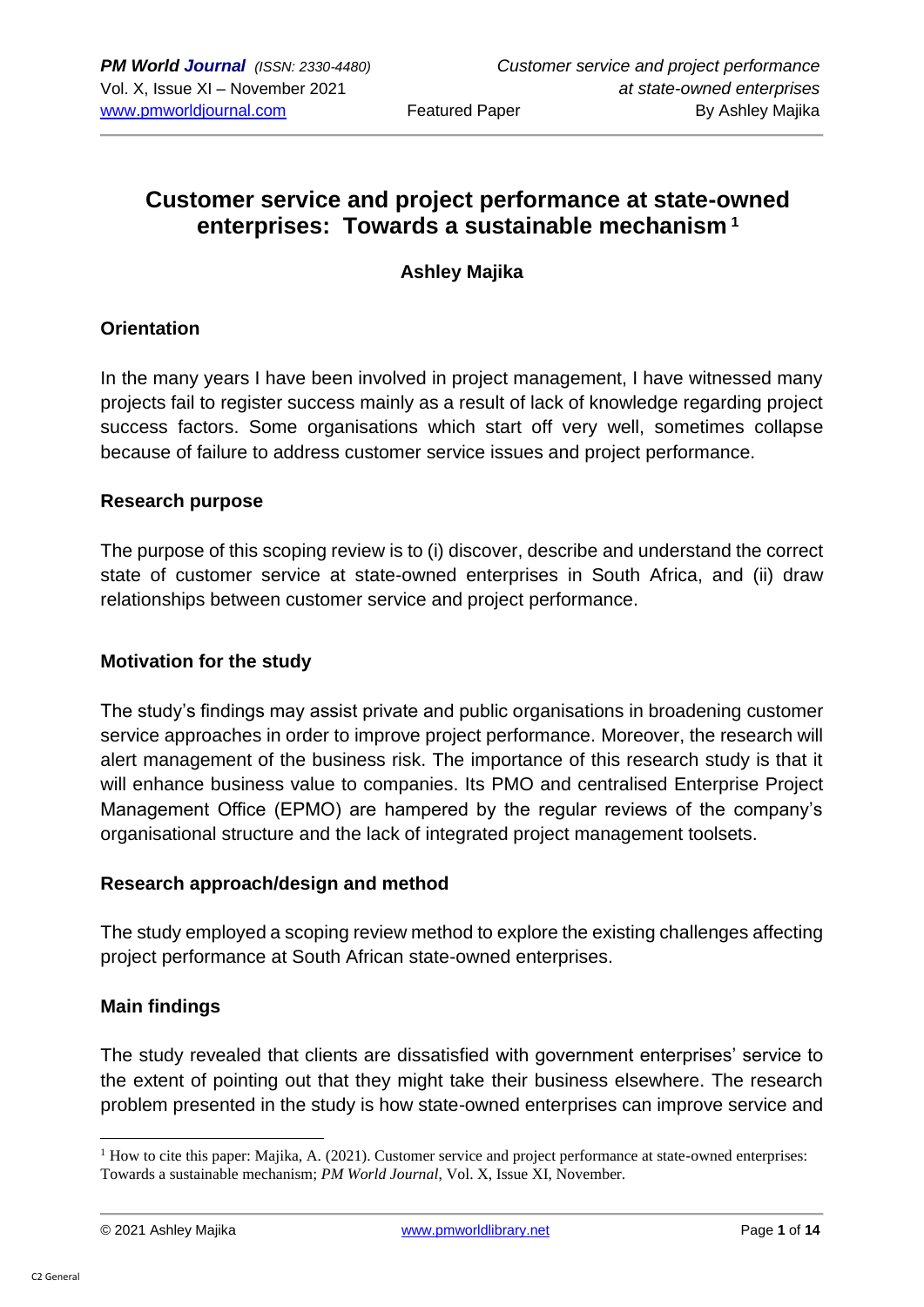# **Customer service and project performance at state-owned enterprises: Towards a sustainable mechanism <sup>1</sup>**

### **Ashley Majika**

### **Orientation**

In the many years I have been involved in project management, I have witnessed many projects fail to register success mainly as a result of lack of knowledge regarding project success factors. Some organisations which start off very well, sometimes collapse because of failure to address customer service issues and project performance.

### **Research purpose**

The purpose of this scoping review is to (i) discover, describe and understand the correct state of customer service at state-owned enterprises in South Africa, and (ii) draw relationships between customer service and project performance.

### **Motivation for the study**

The study's findings may assist private and public organisations in broadening customer service approaches in order to improve project performance. Moreover, the research will alert management of the business risk. The importance of this research study is that it will enhance business value to companies. Its PMO and centralised Enterprise Project Management Office (EPMO) are hampered by the regular reviews of the company's organisational structure and the lack of integrated project management toolsets.

### **Research approach/design and method**

The study employed a scoping review method to explore the existing challenges affecting project performance at South African state-owned enterprises.

### **Main findings**

The study revealed that clients are dissatisfied with government enterprises' service to the extent of pointing out that they might take their business elsewhere. The research problem presented in the study is how state-owned enterprises can improve service and

 $<sup>1</sup>$  How to cite this paper: Majika, A. (2021). Customer service and project performance at state-owned enterprises:</sup> Towards a sustainable mechanism; *PM World Journal*, Vol. X, Issue XI, November.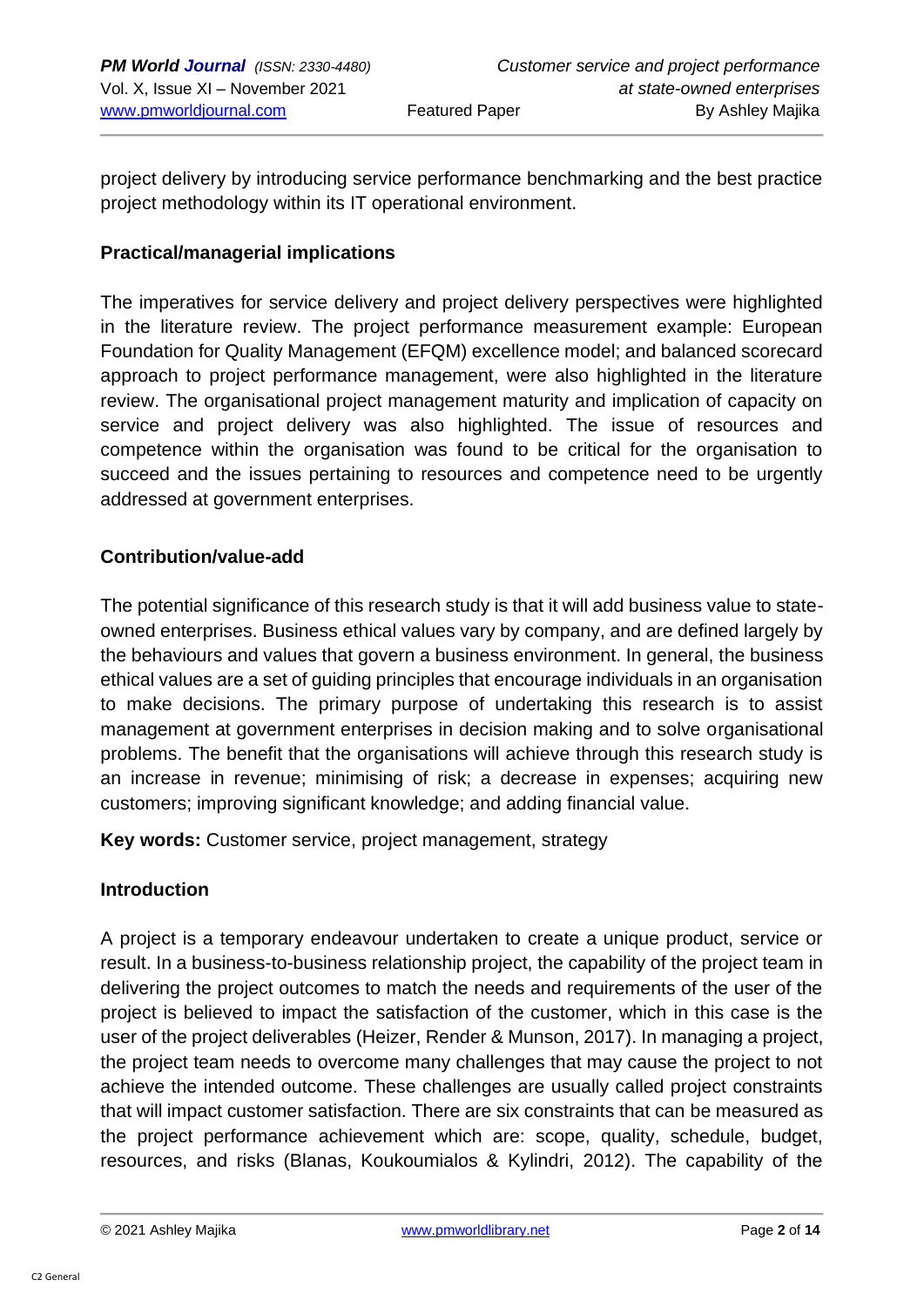project delivery by introducing service performance benchmarking and the best practice project methodology within its IT operational environment.

### **Practical/managerial implications**

The imperatives for service delivery and project delivery perspectives were highlighted in the literature review. The project performance measurement example: European Foundation for Quality Management (EFQM) excellence model; and balanced scorecard approach to project performance management, were also highlighted in the literature review. The organisational project management maturity and implication of capacity on service and project delivery was also highlighted. The issue of resources and competence within the organisation was found to be critical for the organisation to succeed and the issues pertaining to resources and competence need to be urgently addressed at government enterprises.

### **Contribution/value-add**

The potential significance of this research study is that it will add business value to stateowned enterprises. Business ethical values vary by company, and are defined largely by the behaviours and values that govern a business environment. In general, the business ethical values are a set of guiding principles that encourage individuals in an organisation to make decisions. The primary purpose of undertaking this research is to assist management at government enterprises in decision making and to solve organisational problems. The benefit that the organisations will achieve through this research study is an increase in revenue; minimising of risk; a decrease in expenses; acquiring new customers; improving significant knowledge; and adding financial value.

**Key words:** Customer service, project management, strategy

### **Introduction**

A project is a temporary endeavour undertaken to create a unique product, service or result. In a business-to-business relationship project, the capability of the project team in delivering the project outcomes to match the needs and requirements of the user of the project is believed to impact the satisfaction of the customer, which in this case is the user of the project deliverables (Heizer, Render & Munson, 2017). In managing a project, the project team needs to overcome many challenges that may cause the project to not achieve the intended outcome. These challenges are usually called project constraints that will impact customer satisfaction. There are six constraints that can be measured as the project performance achievement which are: scope, quality, schedule, budget, resources, and risks (Blanas, Koukoumialos & Kylindri, 2012). The capability of the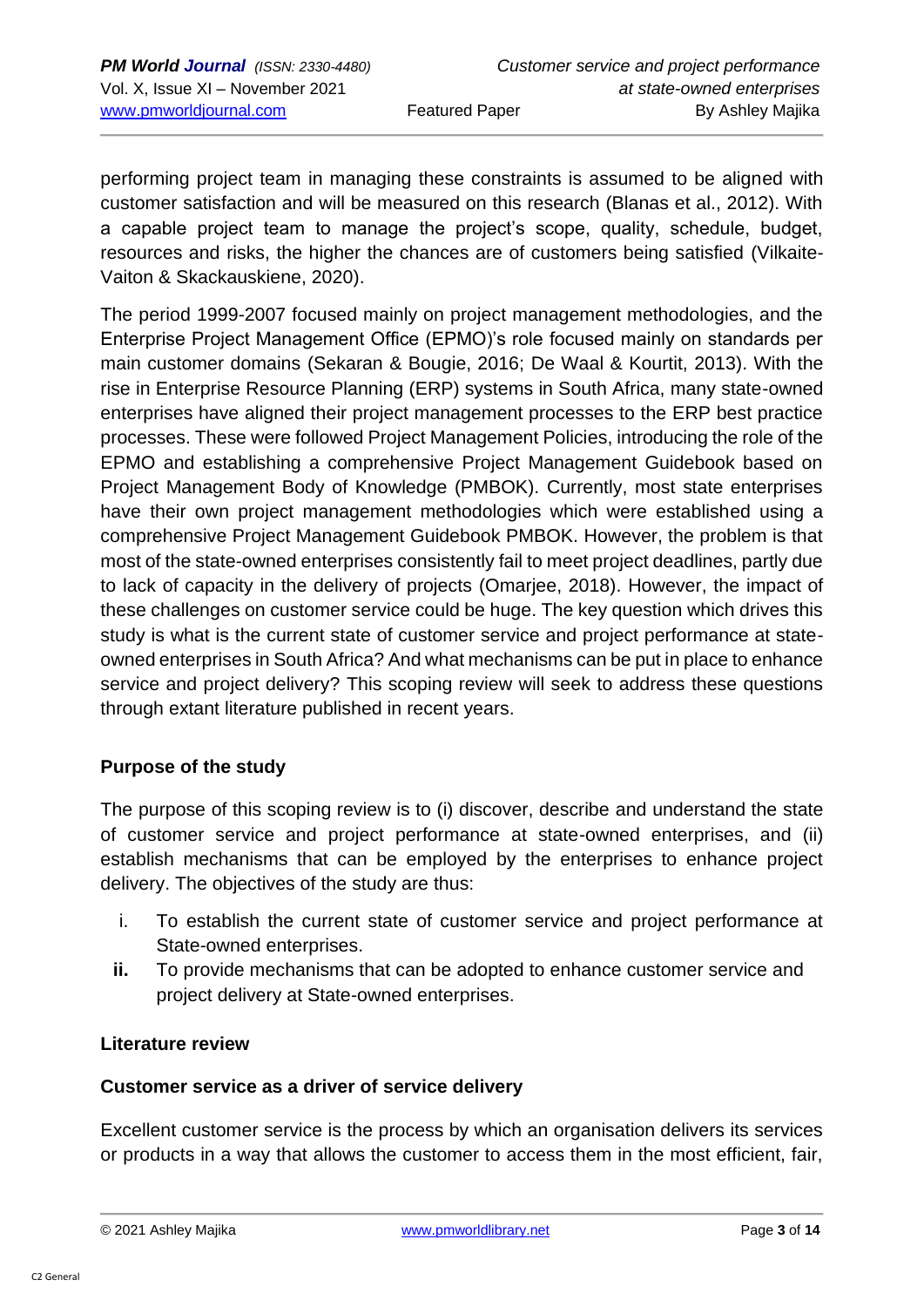performing project team in managing these constraints is assumed to be aligned with customer satisfaction and will be measured on this research (Blanas et al., 2012). With a capable project team to manage the project's scope, quality, schedule, budget, resources and risks, the higher the chances are of customers being satisfied (Vilkaite-Vaiton & Skackauskiene, 2020).

The period 1999-2007 focused mainly on project management methodologies, and the Enterprise Project Management Office (EPMO)'s role focused mainly on standards per main customer domains (Sekaran & Bougie, 2016; De Waal & Kourtit, 2013). With the rise in Enterprise Resource Planning (ERP) systems in South Africa, many state-owned enterprises have aligned their project management processes to the ERP best practice processes. These were followed Project Management Policies, introducing the role of the EPMO and establishing a comprehensive Project Management Guidebook based on Project Management Body of Knowledge (PMBOK). Currently, most state enterprises have their own project management methodologies which were established using a comprehensive Project Management Guidebook PMBOK. However, the problem is that most of the state-owned enterprises consistently fail to meet project deadlines, partly due to lack of capacity in the delivery of projects (Omarjee, 2018). However, the impact of these challenges on customer service could be huge. The key question which drives this study is what is the current state of customer service and project performance at stateowned enterprises in South Africa? And what mechanisms can be put in place to enhance service and project delivery? This scoping review will seek to address these questions through extant literature published in recent years.

### **Purpose of the study**

The purpose of this scoping review is to (i) discover, describe and understand the state of customer service and project performance at state-owned enterprises, and (ii) establish mechanisms that can be employed by the enterprises to enhance project delivery. The objectives of the study are thus:

- i. To establish the current state of customer service and project performance at State-owned enterprises.
- **ii.** To provide mechanisms that can be adopted to enhance customer service and project delivery at State-owned enterprises.

### **Literature review**

### **Customer service as a driver of service delivery**

Excellent customer service is the process by which an organisation delivers its services or products in a way that allows the customer to access them in the most efficient, fair,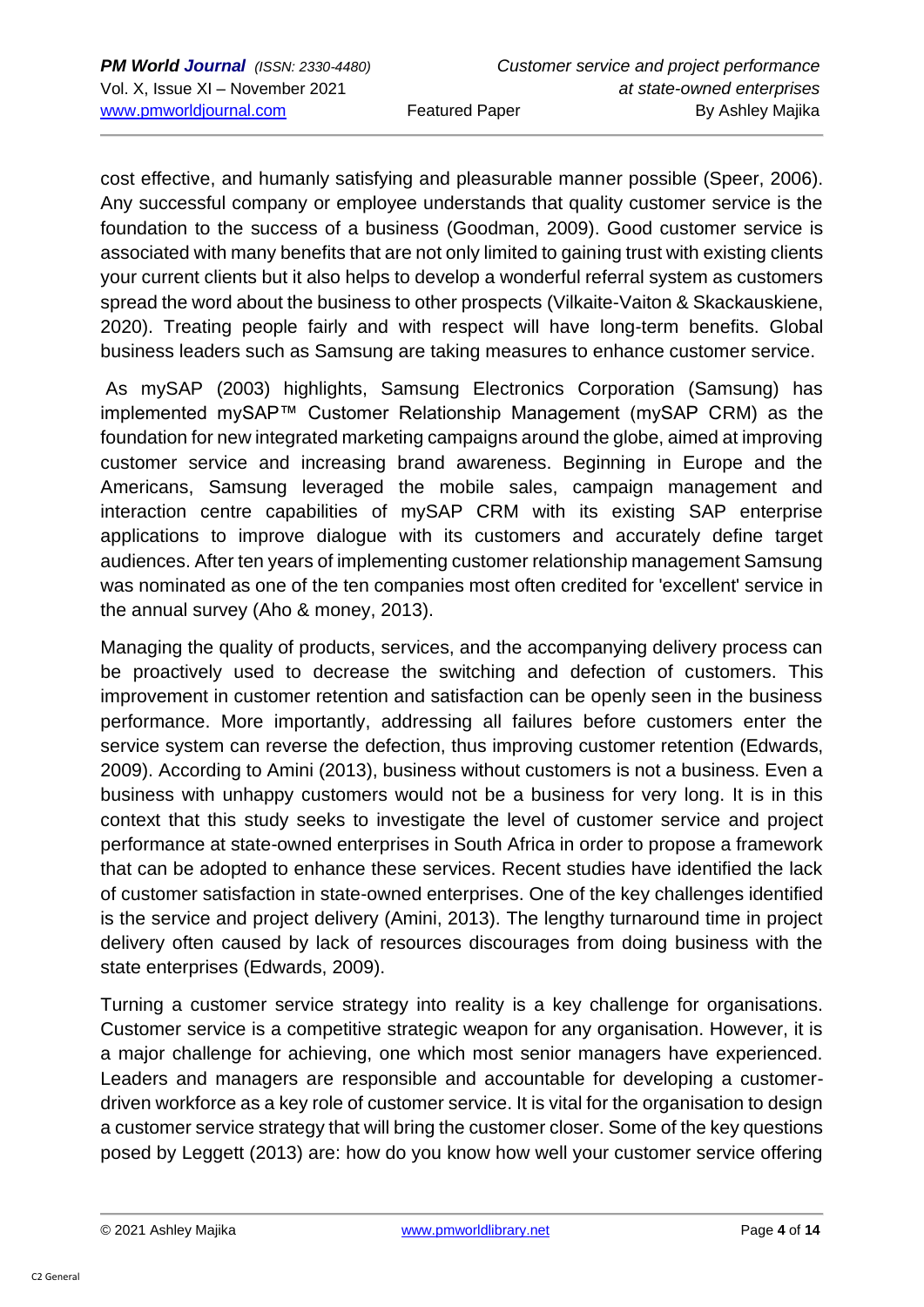cost effective, and humanly satisfying and pleasurable manner possible (Speer, 2006). Any successful company or employee understands that quality customer service is the foundation to the success of a business (Goodman, 2009). Good customer service is associated with many benefits that are not only limited to gaining trust with existing clients your current clients but it also helps to develop a wonderful referral system as customers spread the word about the business to other prospects (Vilkaite-Vaiton & Skackauskiene, 2020). Treating people fairly and with respect will have long-term benefits. Global business leaders such as Samsung are taking measures to enhance customer service.

As mySAP (2003) highlights, Samsung Electronics Corporation (Samsung) has implemented mySAP™ Customer Relationship Management (mySAP CRM) as the foundation for new integrated marketing campaigns around the globe, aimed at improving customer service and increasing brand awareness. Beginning in Europe and the Americans, Samsung leveraged the mobile sales, campaign management and interaction centre capabilities of mySAP CRM with its existing SAP enterprise applications to improve dialogue with its customers and accurately define target audiences. After ten years of implementing customer relationship management Samsung was nominated as one of the ten companies most often credited for 'excellent' service in the annual survey (Aho & money, 2013).

Managing the quality of products, services, and the accompanying delivery process can be proactively used to decrease the switching and defection of customers. This improvement in customer retention and satisfaction can be openly seen in the business performance. More importantly, addressing all failures before customers enter the service system can reverse the defection, thus improving customer retention (Edwards, 2009). According to Amini (2013), business without customers is not a business. Even a business with unhappy customers would not be a business for very long. It is in this context that this study seeks to investigate the level of customer service and project performance at state-owned enterprises in South Africa in order to propose a framework that can be adopted to enhance these services. Recent studies have identified the lack of customer satisfaction in state-owned enterprises. One of the key challenges identified is the service and project delivery (Amini, 2013). The lengthy turnaround time in project delivery often caused by lack of resources discourages from doing business with the state enterprises (Edwards, 2009).

Turning a customer service strategy into reality is a key challenge for organisations. Customer service is a competitive strategic weapon for any organisation. However, it is a major challenge for achieving, one which most senior managers have experienced. Leaders and managers are responsible and accountable for developing a customerdriven workforce as a key role of customer service. It is vital for the organisation to design a customer service strategy that will bring the customer closer. Some of the key questions posed by Leggett (2013) are: how do you know how well your customer service offering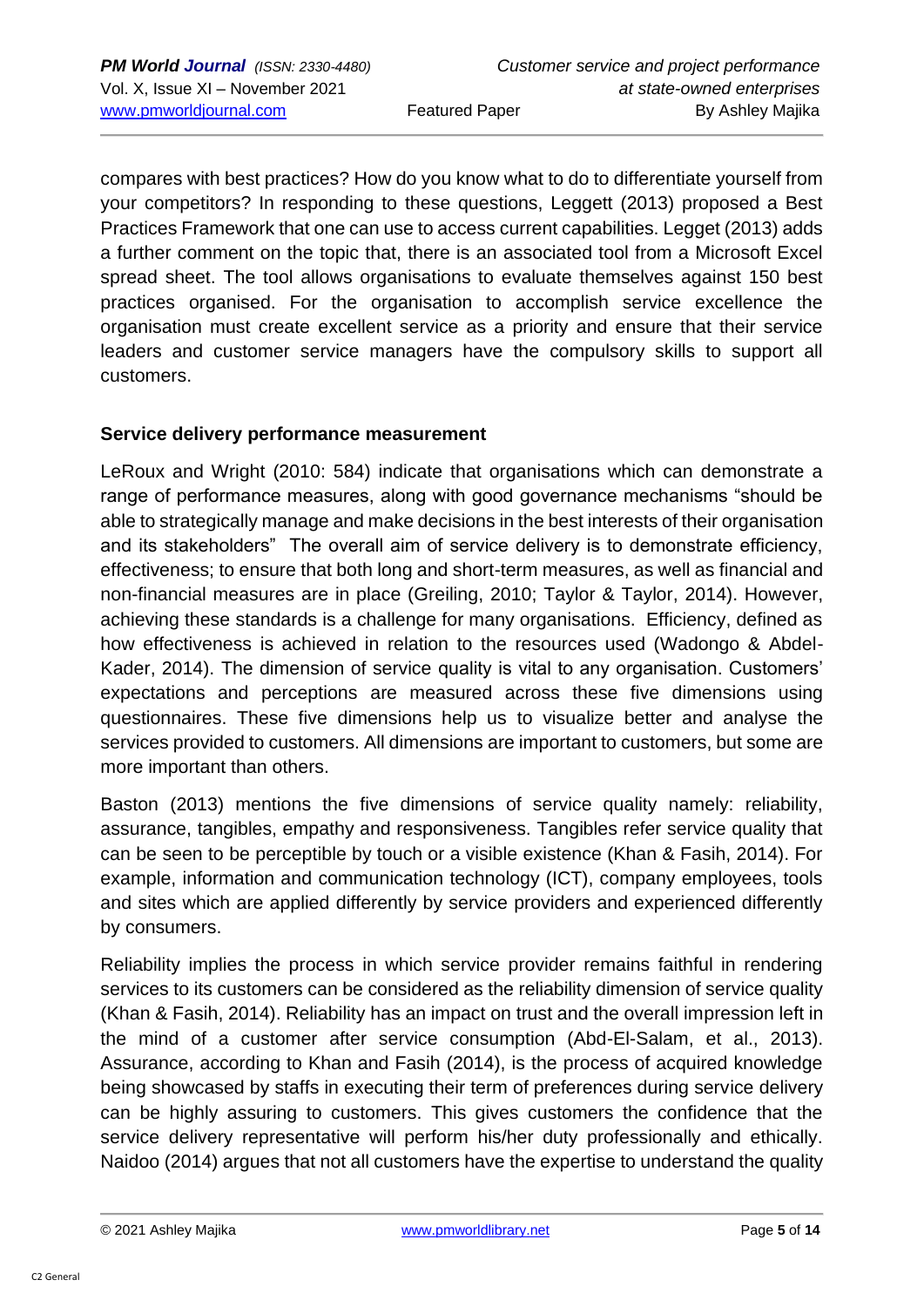compares with best practices? How do you know what to do to differentiate yourself from your competitors? In responding to these questions, Leggett (2013) proposed a Best Practices Framework that one can use to access current capabilities. Legget (2013) adds a further comment on the topic that, there is an associated tool from a Microsoft Excel spread sheet. The tool allows organisations to evaluate themselves against 150 best practices organised. For the organisation to accomplish service excellence the organisation must create excellent service as a priority and ensure that their service leaders and customer service managers have the compulsory skills to support all customers.

### **Service delivery performance measurement**

LeRoux and Wright (2010: 584) indicate that organisations which can demonstrate a range of performance measures, along with good governance mechanisms "should be able to strategically manage and make decisions in the best interests of their organisation and its stakeholders" The overall aim of service delivery is to demonstrate efficiency, effectiveness; to ensure that both long and short-term measures, as well as financial and non-financial measures are in place (Greiling, 2010; Taylor & Taylor, 2014). However, achieving these standards is a challenge for many organisations. Efficiency, defined as how effectiveness is achieved in relation to the resources used (Wadongo & Abdel-Kader, 2014). The dimension of service quality is vital to any organisation. Customers' expectations and perceptions are measured across these five dimensions using questionnaires. These five dimensions help us to visualize better and analyse the services provided to customers. All dimensions are important to customers, but some are more important than others.

Baston (2013) mentions the five dimensions of service quality namely: reliability, assurance, tangibles, empathy and responsiveness. Tangibles refer service quality that can be seen to be perceptible by touch or a visible existence (Khan & Fasih, 2014). For example, information and communication technology (ICT), company employees, tools and sites which are applied differently by service providers and experienced differently by consumers.

Reliability implies the process in which service provider remains faithful in rendering services to its customers can be considered as the reliability dimension of service quality (Khan & Fasih, 2014). Reliability has an impact on trust and the overall impression left in the mind of a customer after service consumption (Abd-El-Salam, et al., 2013). Assurance, according to Khan and Fasih (2014), is the process of acquired knowledge being showcased by staffs in executing their term of preferences during service delivery can be highly assuring to customers. This gives customers the confidence that the service delivery representative will perform his/her duty professionally and ethically. Naidoo (2014) argues that not all customers have the expertise to understand the quality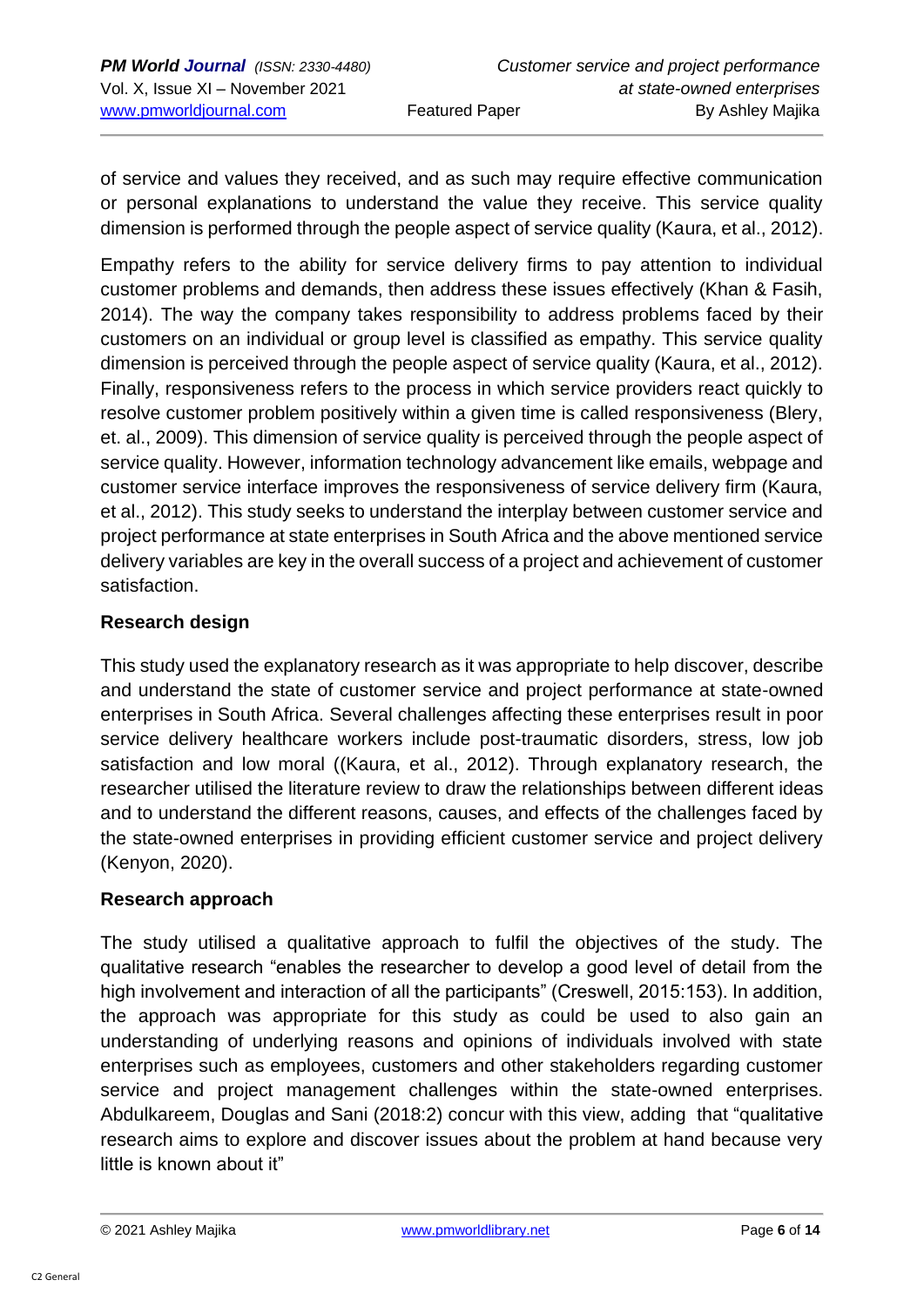of service and values they received, and as such may require effective communication or personal explanations to understand the value they receive. This service quality dimension is performed through the people aspect of service quality (Kaura, et al., 2012).

Empathy refers to the ability for service delivery firms to pay attention to individual customer problems and demands, then address these issues effectively (Khan & Fasih, 2014). The way the company takes responsibility to address problems faced by their customers on an individual or group level is classified as empathy. This service quality dimension is perceived through the people aspect of service quality (Kaura, et al., 2012). Finally, responsiveness refers to the process in which service providers react quickly to resolve customer problem positively within a given time is called responsiveness (Blery, et. al., 2009). This dimension of service quality is perceived through the people aspect of service quality. However, information technology advancement like emails, webpage and customer service interface improves the responsiveness of service delivery firm (Kaura, et al., 2012). This study seeks to understand the interplay between customer service and project performance at state enterprises in South Africa and the above mentioned service delivery variables are key in the overall success of a project and achievement of customer satisfaction.

### **Research design**

This study used the explanatory research as it was appropriate to help discover, describe and understand the state of customer service and project performance at state-owned enterprises in South Africa. Several challenges affecting these enterprises result in poor service delivery healthcare workers include post-traumatic disorders, stress, low job satisfaction and low moral ((Kaura, et al., 2012). Through explanatory research, the researcher utilised the literature review to draw the relationships between different ideas and to understand the different reasons, causes, and effects of the challenges faced by the state-owned enterprises in providing efficient customer service and project delivery (Kenyon, 2020).

### **Research approach**

The study utilised a qualitative approach to fulfil the objectives of the study. The qualitative research "enables the researcher to develop a good level of detail from the high involvement and interaction of all the participants" (Creswell, 2015:153). In addition, the approach was appropriate for this study as could be used to also gain an understanding of underlying reasons and opinions of individuals involved with state enterprises such as employees, customers and other stakeholders regarding customer service and project management challenges within the state-owned enterprises. Abdulkareem, Douglas and Sani (2018:2) concur with this view, adding that "qualitative research aims to explore and discover issues about the problem at hand because very little is known about it"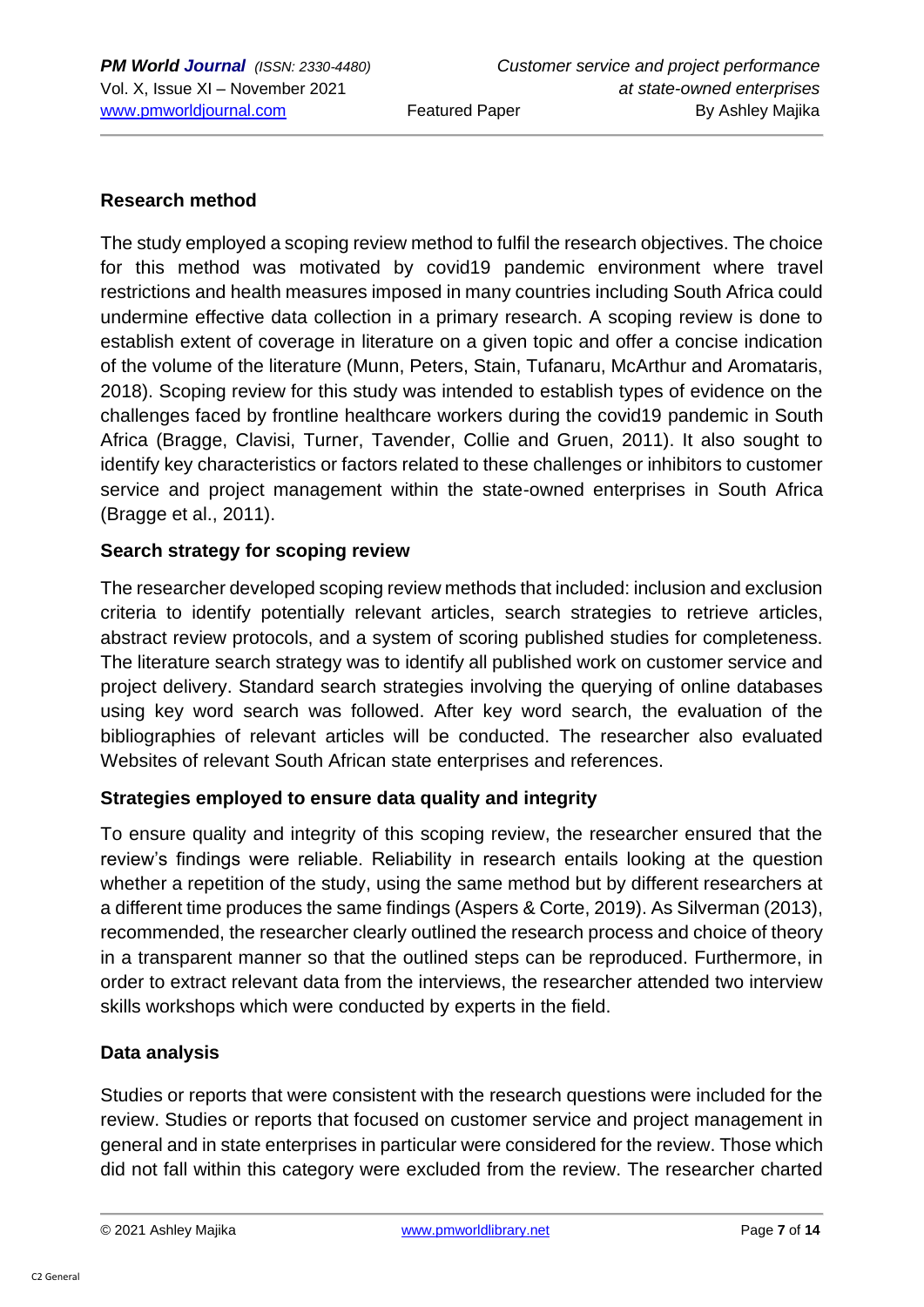### **Research method**

The study employed a scoping review method to fulfil the research objectives. The choice for this method was motivated by covid19 pandemic environment where travel restrictions and health measures imposed in many countries including South Africa could undermine effective data collection in a primary research. A scoping review is done to establish extent of coverage in literature on a given topic and offer a concise indication of the volume of the literature (Munn, Peters, Stain, Tufanaru, McArthur and Aromataris, 2018). Scoping review for this study was intended to establish types of evidence on the challenges faced by frontline healthcare workers during the covid19 pandemic in South Africa (Bragge, Clavisi, Turner, Tavender, Collie and Gruen, 2011). It also sought to identify key characteristics or factors related to these challenges or inhibitors to customer service and project management within the state-owned enterprises in South Africa (Bragge et al., 2011).

### **Search strategy for scoping review**

The researcher developed scoping review methods that included: inclusion and exclusion criteria to identify potentially relevant articles, search strategies to retrieve articles, abstract review protocols, and a system of scoring published studies for completeness. The literature search strategy was to identify all published work on customer service and project delivery. Standard search strategies involving the querying of online databases using key word search was followed. After key word search, the evaluation of the bibliographies of relevant articles will be conducted. The researcher also evaluated Websites of relevant South African state enterprises and references.

### **Strategies employed to ensure data quality and integrity**

To ensure quality and integrity of this scoping review, the researcher ensured that the review's findings were reliable. Reliability in research entails looking at the question whether a repetition of the study, using the same method but by different researchers at a different time produces the same findings (Aspers & Corte, 2019). As Silverman (2013), recommended, the researcher clearly outlined the research process and choice of theory in a transparent manner so that the outlined steps can be reproduced. Furthermore, in order to extract relevant data from the interviews, the researcher attended two interview skills workshops which were conducted by experts in the field.

### **Data analysis**

Studies or reports that were consistent with the research questions were included for the review. Studies or reports that focused on customer service and project management in general and in state enterprises in particular were considered for the review. Those which did not fall within this category were excluded from the review. The researcher charted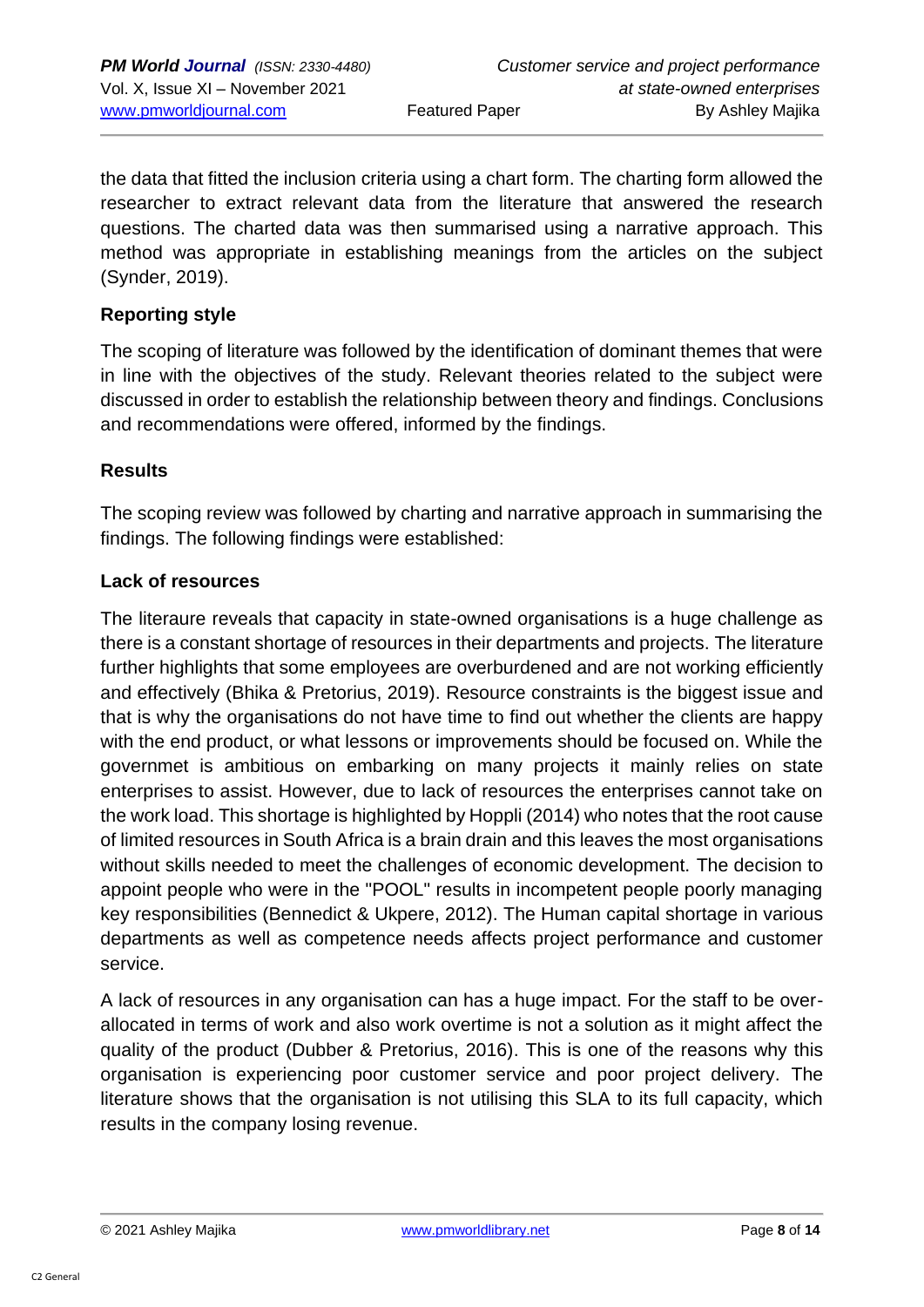the data that fitted the inclusion criteria using a chart form. The charting form allowed the researcher to extract relevant data from the literature that answered the research questions. The charted data was then summarised using a narrative approach. This method was appropriate in establishing meanings from the articles on the subject (Synder, 2019).

### **Reporting style**

The scoping of literature was followed by the identification of dominant themes that were in line with the objectives of the study. Relevant theories related to the subject were discussed in order to establish the relationship between theory and findings. Conclusions and recommendations were offered, informed by the findings.

### **Results**

The scoping review was followed by charting and narrative approach in summarising the findings. The following findings were established:

### **Lack of resources**

The literaure reveals that capacity in state-owned organisations is a huge challenge as there is a constant shortage of resources in their departments and projects. The literature further highlights that some employees are overburdened and are not working efficiently and effectively (Bhika & Pretorius, 2019). Resource constraints is the biggest issue and that is why the organisations do not have time to find out whether the clients are happy with the end product, or what lessons or improvements should be focused on. While the governmet is ambitious on embarking on many projects it mainly relies on state enterprises to assist. However, due to lack of resources the enterprises cannot take on the work load. This shortage is highlighted by Hoppli (2014) who notes that the root cause of limited resources in South Africa is a brain drain and this leaves the most organisations without skills needed to meet the challenges of economic development. The decision to appoint people who were in the "POOL" results in incompetent people poorly managing key responsibilities (Bennedict & Ukpere, 2012). The Human capital shortage in various departments as well as competence needs affects project performance and customer service.

A lack of resources in any organisation can has a huge impact. For the staff to be overallocated in terms of work and also work overtime is not a solution as it might affect the quality of the product (Dubber & Pretorius, 2016). This is one of the reasons why this organisation is experiencing poor customer service and poor project delivery. The literature shows that the organisation is not utilising this SLA to its full capacity, which results in the company losing revenue.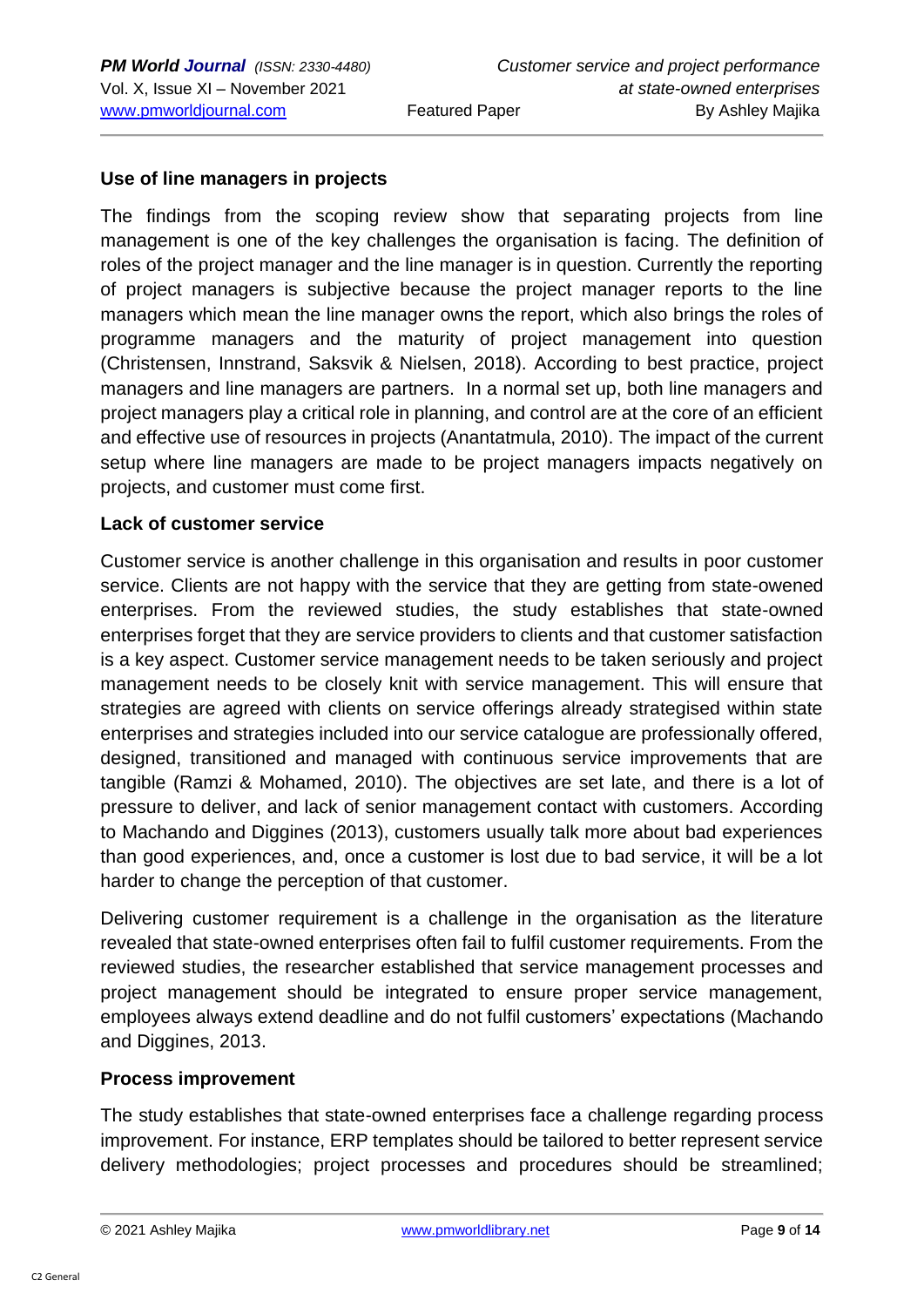### **Use of line managers in projects**

The findings from the scoping review show that separating projects from line management is one of the key challenges the organisation is facing. The definition of roles of the project manager and the line manager is in question. Currently the reporting of project managers is subjective because the project manager reports to the line managers which mean the line manager owns the report, which also brings the roles of programme managers and the maturity of project management into question (Christensen, Innstrand, Saksvik & Nielsen, 2018). According to best practice, project managers and line managers are partners. In a normal set up, both line managers and project managers play a critical role in planning, and control are at the core of an efficient and effective use of resources in projects (Anantatmula, 2010). The impact of the current setup where line managers are made to be project managers impacts negatively on projects, and customer must come first.

#### **Lack of customer service**

Customer service is another challenge in this organisation and results in poor customer service. Clients are not happy with the service that they are getting from state-owened enterprises. From the reviewed studies, the study establishes that state-owned enterprises forget that they are service providers to clients and that customer satisfaction is a key aspect. Customer service management needs to be taken seriously and project management needs to be closely knit with service management. This will ensure that strategies are agreed with clients on service offerings already strategised within state enterprises and strategies included into our service catalogue are professionally offered, designed, transitioned and managed with continuous service improvements that are tangible (Ramzi & Mohamed, 2010). The objectives are set late, and there is a lot of pressure to deliver, and lack of senior management contact with customers. According to Machando and Diggines (2013), customers usually talk more about bad experiences than good experiences, and, once a customer is lost due to bad service, it will be a lot harder to change the perception of that customer.

Delivering customer requirement is a challenge in the organisation as the literature revealed that state-owned enterprises often fail to fulfil customer requirements. From the reviewed studies, the researcher established that service management processes and project management should be integrated to ensure proper service management, employees always extend deadline and do not fulfil customers' expectations (Machando and Diggines, 2013.

#### **Process improvement**

The study establishes that state-owned enterprises face a challenge regarding process improvement. For instance, ERP templates should be tailored to better represent service delivery methodologies; project processes and procedures should be streamlined;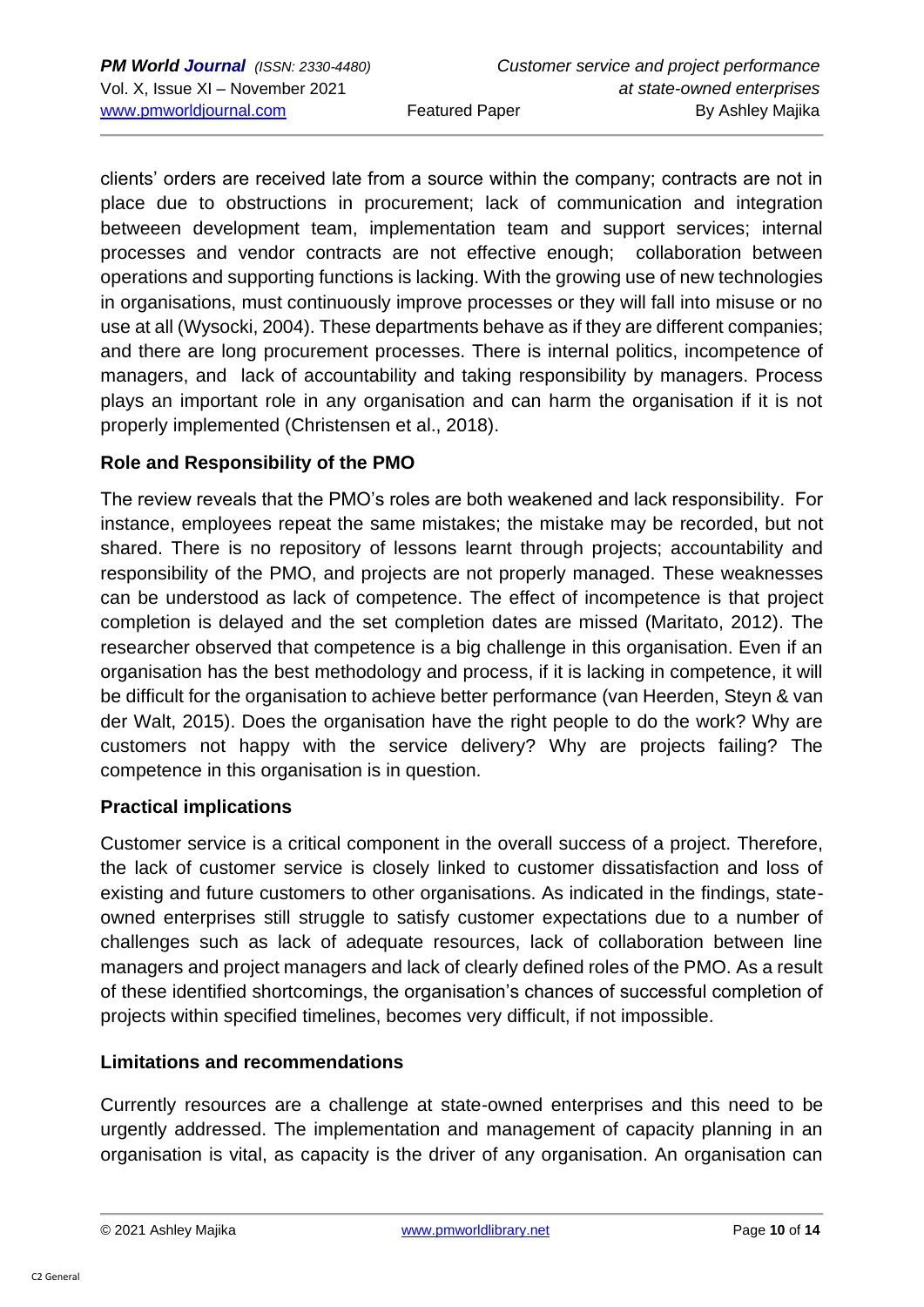clients' orders are received late from a source within the company; contracts are not in place due to obstructions in procurement; lack of communication and integration betweeen development team, implementation team and support services; internal processes and vendor contracts are not effective enough; collaboration between operations and supporting functions is lacking. With the growing use of new technologies in organisations, must continuously improve processes or they will fall into misuse or no use at all (Wysocki, 2004). These departments behave as if they are different companies; and there are long procurement processes. There is internal politics, incompetence of managers, and lack of accountability and taking responsibility by managers. Process plays an important role in any organisation and can harm the organisation if it is not properly implemented (Christensen et al., 2018).

### **Role and Responsibility of the PMO**

The review reveals that the PMO's roles are both weakened and lack responsibility. For instance, employees repeat the same mistakes; the mistake may be recorded, but not shared. There is no repository of lessons learnt through projects; accountability and responsibility of the PMO, and projects are not properly managed. These weaknesses can be understood as lack of competence. The effect of incompetence is that project completion is delayed and the set completion dates are missed (Maritato, 2012). The researcher observed that competence is a big challenge in this organisation. Even if an organisation has the best methodology and process, if it is lacking in competence, it will be difficult for the organisation to achieve better performance (van Heerden, Steyn & van der Walt, 2015). Does the organisation have the right people to do the work? Why are customers not happy with the service delivery? Why are projects failing? The competence in this organisation is in question.

### **Practical implications**

Customer service is a critical component in the overall success of a project. Therefore, the lack of customer service is closely linked to customer dissatisfaction and loss of existing and future customers to other organisations. As indicated in the findings, stateowned enterprises still struggle to satisfy customer expectations due to a number of challenges such as lack of adequate resources, lack of collaboration between line managers and project managers and lack of clearly defined roles of the PMO. As a result of these identified shortcomings, the organisation's chances of successful completion of projects within specified timelines, becomes very difficult, if not impossible.

### **Limitations and recommendations**

Currently resources are a challenge at state-owned enterprises and this need to be urgently addressed. The implementation and management of capacity planning in an organisation is vital, as capacity is the driver of any organisation. An organisation can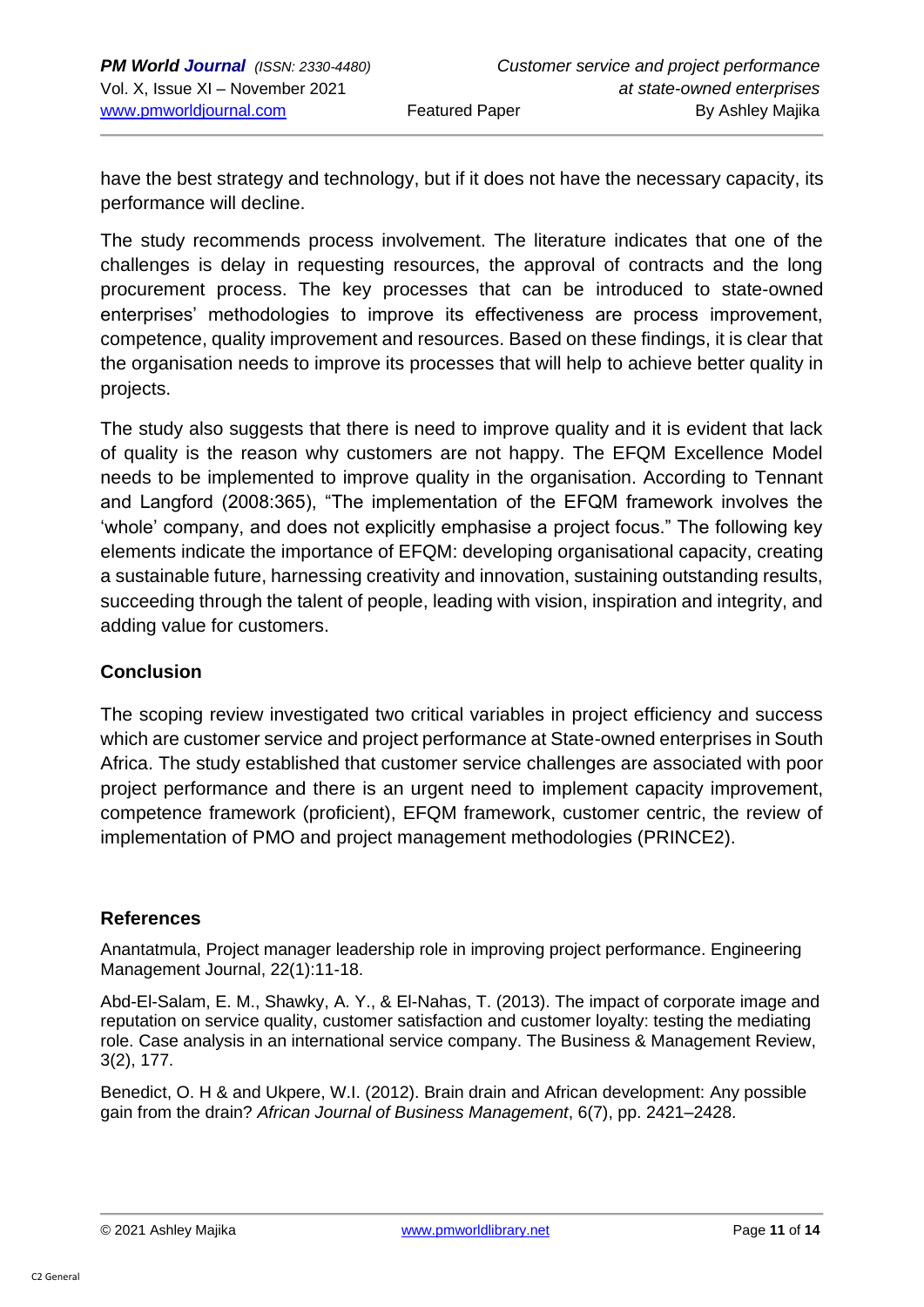have the best strategy and technology, but if it does not have the necessary capacity, its performance will decline.

The study recommends process involvement. The literature indicates that one of the challenges is delay in requesting resources, the approval of contracts and the long procurement process. The key processes that can be introduced to state-owned enterprises' methodologies to improve its effectiveness are process improvement, competence, quality improvement and resources. Based on these findings, it is clear that the organisation needs to improve its processes that will help to achieve better quality in projects.

The study also suggests that there is need to improve quality and it is evident that lack of quality is the reason why customers are not happy. The EFQM Excellence Model needs to be implemented to improve quality in the organisation. According to Tennant and Langford (2008:365), "The implementation of the EFQM framework involves the 'whole' company, and does not explicitly emphasise a project focus." The following key elements indicate the importance of EFQM: developing organisational capacity, creating a sustainable future, harnessing creativity and innovation, sustaining outstanding results, succeeding through the talent of people, leading with vision, inspiration and integrity, and adding value for customers.

### **Conclusion**

The scoping review investigated two critical variables in project efficiency and success which are customer service and project performance at State-owned enterprises in South Africa. The study established that customer service challenges are associated with poor project performance and there is an urgent need to implement capacity improvement, competence framework (proficient), EFQM framework, customer centric, the review of implementation of PMO and project management methodologies (PRINCE2).

### **References**

Anantatmula, Project manager leadership role in improving project performance. Engineering Management Journal, 22(1):11-18.

Abd-El-Salam, E. M., Shawky, A. Y., & El-Nahas, T. (2013). The impact of corporate image and reputation on service quality, customer satisfaction and customer loyalty: testing the mediating role. Case analysis in an international service company. The Business & Management Review, 3(2), 177.

Benedict, O. H & and Ukpere, W.I. (2012). Brain drain and African development: Any possible gain from the drain? *African Journal of Business Management*, 6(7), pp. 2421–2428.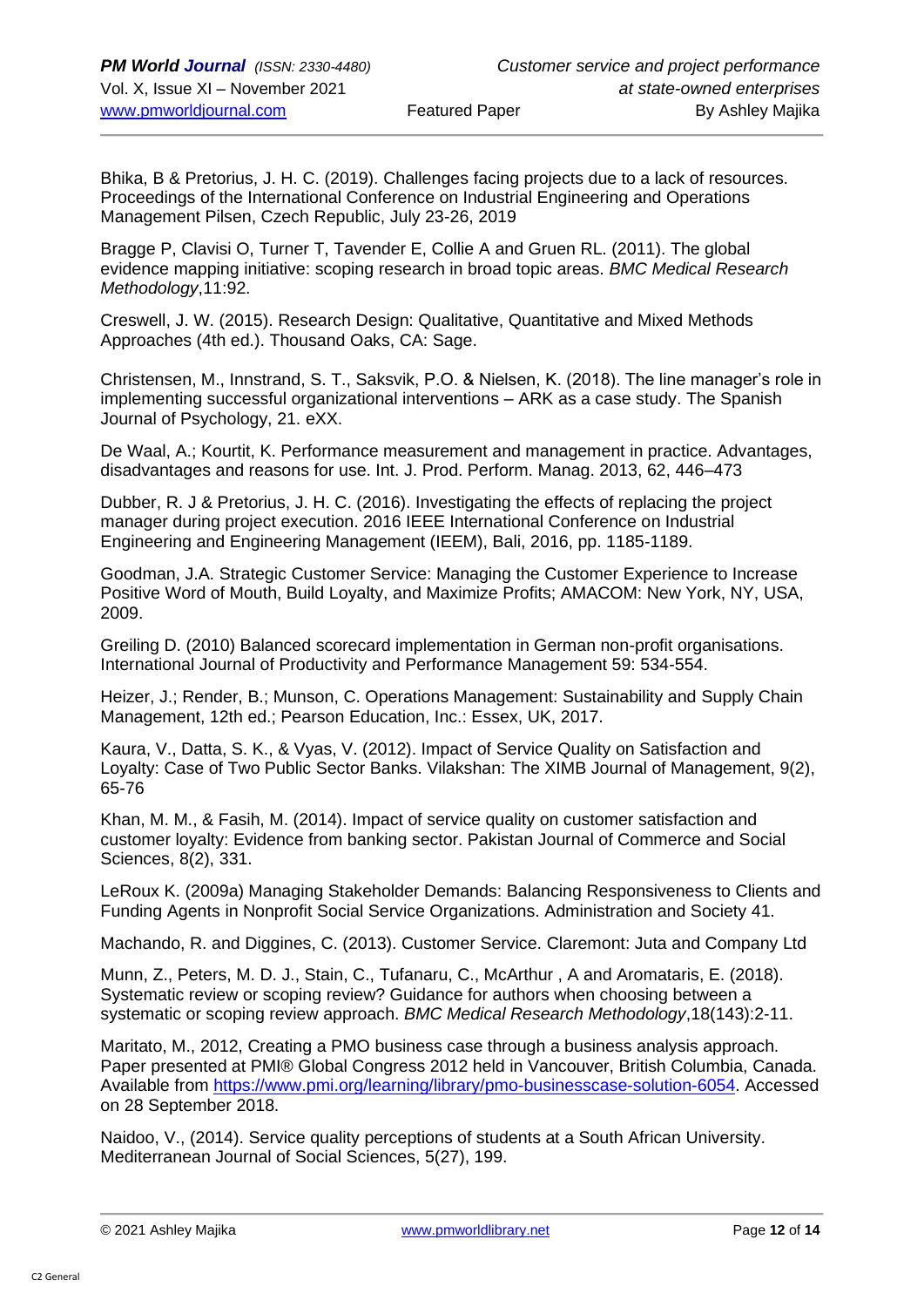Bhika, B & Pretorius, J. H. C. (2019). Challenges facing projects due to a lack of resources. Proceedings of the International Conference on Industrial Engineering and Operations Management Pilsen, Czech Republic, July 23-26, 2019

Bragge P, Clavisi O, Turner T, Tavender E, Collie A and Gruen RL. (2011). The global evidence mapping initiative: scoping research in broad topic areas. *BMC Medical Research Methodology*,11:92.

Creswell, J. W. (2015). Research Design: Qualitative, Quantitative and Mixed Methods Approaches (4th ed.). Thousand Oaks, CA: Sage.

Christensen, M., Innstrand, S. T., Saksvik, P.O. & Nielsen, K. (2018). The line manager's role in implementing successful organizational interventions – ARK as a case study. The Spanish Journal of Psychology, 21. eXX.

De Waal, A.; Kourtit, K. Performance measurement and management in practice. Advantages, disadvantages and reasons for use. Int. J. Prod. Perform. Manag. 2013, 62, 446–473

Dubber, R. J & Pretorius, J. H. C. (2016). Investigating the effects of replacing the project manager during project execution. 2016 IEEE International Conference on Industrial Engineering and Engineering Management (IEEM), Bali, 2016, pp. 1185-1189.

Goodman, J.A. Strategic Customer Service: Managing the Customer Experience to Increase Positive Word of Mouth, Build Loyalty, and Maximize Profits; AMACOM: New York, NY, USA, 2009.

Greiling D. (2010) Balanced scorecard implementation in German non-profit organisations. International Journal of Productivity and Performance Management 59: 534-554.

Heizer, J.; Render, B.; Munson, C. Operations Management: Sustainability and Supply Chain Management, 12th ed.; Pearson Education, Inc.: Essex, UK, 2017.

Kaura, V., Datta, S. K., & Vyas, V. (2012). Impact of Service Quality on Satisfaction and Loyalty: Case of Two Public Sector Banks. Vilakshan: The XIMB Journal of Management, 9(2), 65-76

Khan, M. M., & Fasih, M. (2014). Impact of service quality on customer satisfaction and customer loyalty: Evidence from banking sector. Pakistan Journal of Commerce and Social Sciences, 8(2), 331.

LeRoux K. (2009a) Managing Stakeholder Demands: Balancing Responsiveness to Clients and Funding Agents in Nonprofit Social Service Organizations. Administration and Society 41.

Machando, R. and Diggines, C. (2013). Customer Service. Claremont: Juta and Company Ltd

Munn, Z., Peters, M. D. J., Stain, C., Tufanaru, C., McArthur , A and Aromataris, E. (2018). Systematic review or scoping review? Guidance for authors when choosing between a systematic or scoping review approach. *BMC Medical Research Methodology*,18(143):2-11.

Maritato, M., 2012, Creating a PMO business case through a business analysis approach. Paper presented at PMI® Global Congress 2012 held in Vancouver, British Columbia, Canada. Available from [https://www.pmi.org/learning/library/pmo-businesscase-solution-6054.](https://www.pmi.org/learning/library/pmo-businesscase-solution-6054) Accessed on 28 September 2018.

Naidoo, V., (2014). Service quality perceptions of students at a South African University. Mediterranean Journal of Social Sciences, 5(27), 199.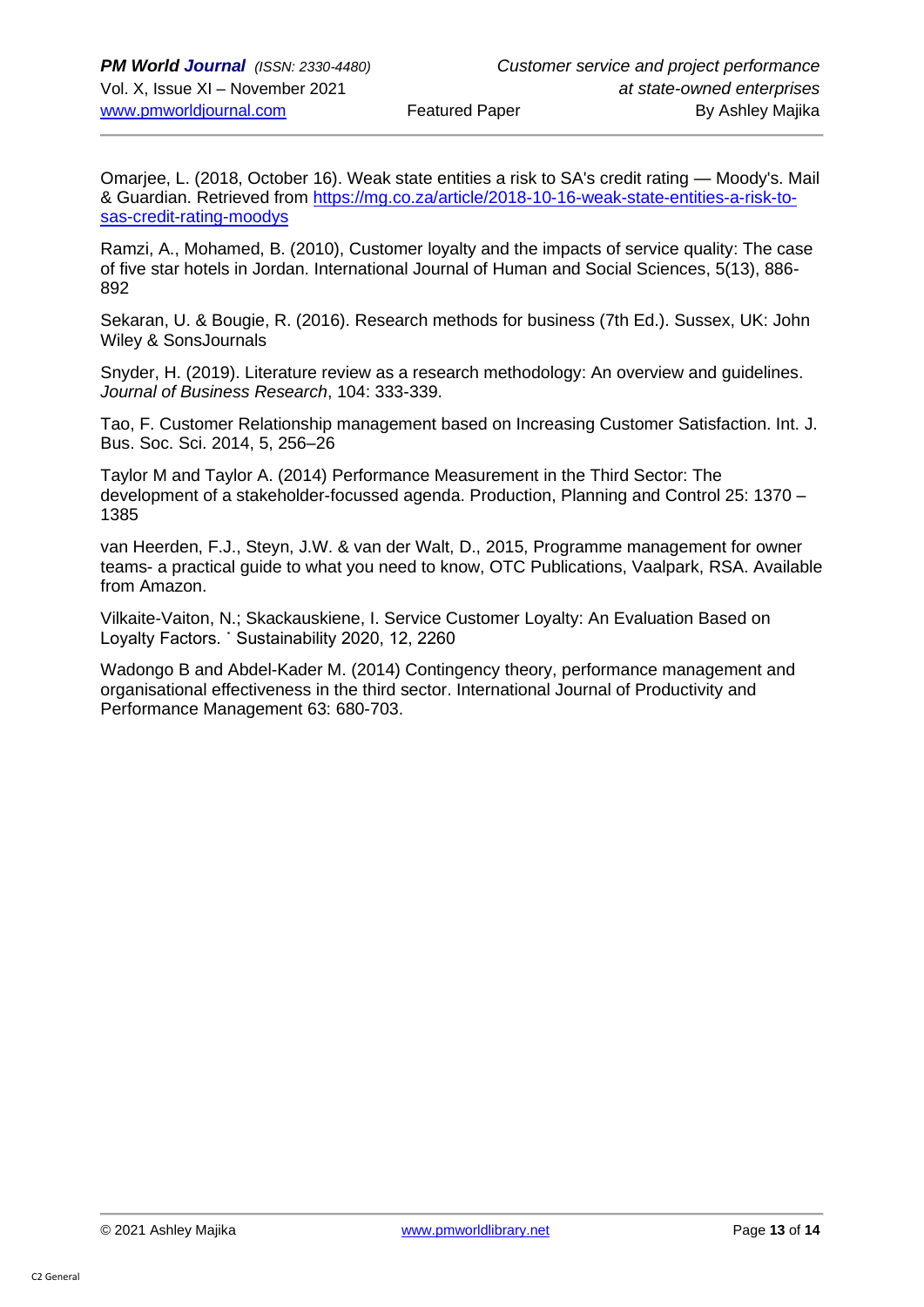Omarjee, L. (2018, October 16). Weak state entities a risk to SA's credit rating — Moody's. Mail & Guardian. Retrieved from [https://mg.co.za/article/2018-10-16-weak-state-entities-a-risk-to](https://mg.co.za/article/2018-10-16-weak-state-entities-a-risk-to-sas-credit-rating-moodys)[sas-credit-rating-moodys](https://mg.co.za/article/2018-10-16-weak-state-entities-a-risk-to-sas-credit-rating-moodys) 

Ramzi, A., Mohamed, B. (2010), Customer loyalty and the impacts of service quality: The case of five star hotels in Jordan. International Journal of Human and Social Sciences, 5(13), 886- 892

Sekaran, U. & Bougie, R. (2016). Research methods for business (7th Ed.). Sussex, UK: John Wiley & SonsJournals

Snyder, H. (2019). Literature review as a research methodology: An overview and guidelines. *Journal of Business Research*, 104: 333-339.

Tao, F. Customer Relationship management based on Increasing Customer Satisfaction. Int. J. Bus. Soc. Sci. 2014, 5, 256–26

Taylor M and Taylor A. (2014) Performance Measurement in the Third Sector: The development of a stakeholder-focussed agenda. Production, Planning and Control 25: 1370 – 1385

van Heerden, F.J., Steyn, J.W. & van der Walt, D., 2015, Programme management for owner teams- a practical guide to what you need to know, OTC Publications, Vaalpark, RSA. Available from Amazon.

Vilkaite-Vaiton, N.; Skackauskiene, I. Service Customer Loyalty: An Evaluation Based on Loyalty Factors. ˙ Sustainability 2020, 12, 2260

Wadongo B and Abdel-Kader M. (2014) Contingency theory, performance management and organisational effectiveness in the third sector. International Journal of Productivity and Performance Management 63: 680-703.